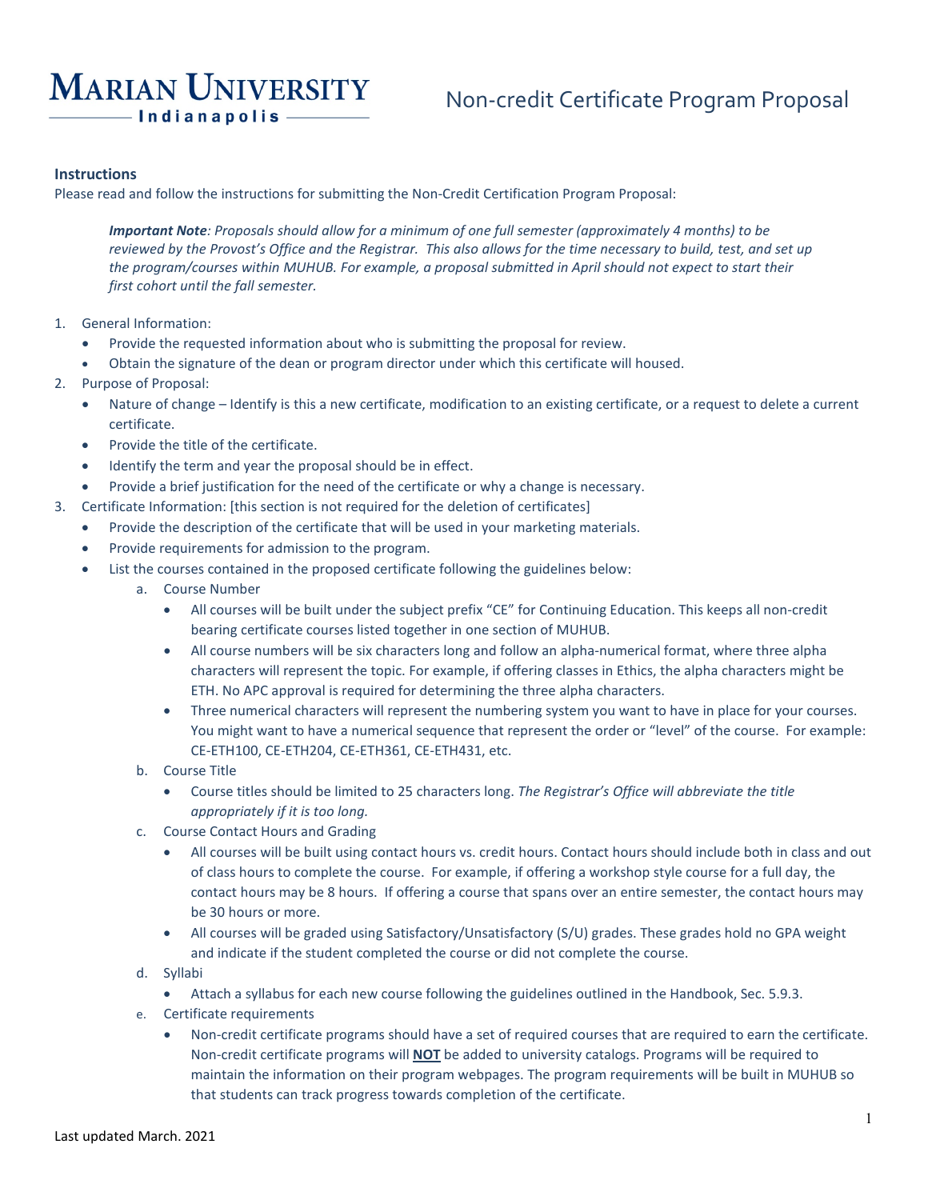# **MARIAN UNIVERSITY** - Indianapolis -

## Non-credit Certificate Program Proposal

### **Instructions**

Please read and follow the instructions for submitting the Non-Credit Certification Program Proposal:

*Important Note: Proposals should allow for a minimum of one full semester (approximately 4 months) to be reviewed by the Provost's Office and the Registrar. This also allows for the time necessary to build, test, and set up the program/courses within MUHUB. For example, a proposal submitted in April should not expect to start their first cohort until the fall semester.*

- 1. General Information:
	- Provide the requested information about who is submitting the proposal for review.
	- Obtain the signature of the dean or program director under which this certificate will housed.
- 2. Purpose of Proposal:
	- Nature of change Identify is this a new certificate, modification to an existing certificate, or a request to delete a current certificate.
	- Provide the title of the certificate.
	- Identify the term and year the proposal should be in effect.
	- Provide a brief justification for the need of the certificate or why a change is necessary.
- 3. Certificate Information: [this section is not required for the deletion of certificates]
	- Provide the description of the certificate that will be used in your marketing materials.
	- Provide requirements for admission to the program.
	- List the courses contained in the proposed certificate following the guidelines below:
		- a. Course Number
			- All courses will be built under the subject prefix "CE" for Continuing Education. This keeps all non-credit bearing certificate courses listed together in one section of MUHUB.
			- All course numbers will be six characters long and follow an alpha-numerical format, where three alpha characters will represent the topic. For example, if offering classes in Ethics, the alpha characters might be ETH. No APC approval is required for determining the three alpha characters.
			- Three numerical characters will represent the numbering system you want to have in place for your courses. You might want to have a numerical sequence that represent the order or "level" of the course. For example: CE-ETH100, CE-ETH204, CE-ETH361, CE-ETH431, etc.
		- b. Course Title
			- Course titles should be limited to 25 characters long. *The Registrar's Office will abbreviate the title appropriately if it is too long.*
		- c. Course Contact Hours and Grading
			- All courses will be built using contact hours vs. credit hours. Contact hours should include both in class and out of class hours to complete the course. For example, if offering a workshop style course for a full day, the contact hours may be 8 hours. If offering a course that spans over an entire semester, the contact hours may be 30 hours or more.
			- All courses will be graded using Satisfactory/Unsatisfactory (S/U) grades. These grades hold no GPA weight and indicate if the student completed the course or did not complete the course.
		- d. Syllabi
			- Attach a syllabus for each new course following the guidelines outlined in the Handbook, Sec. 5.9.3.
		- e. Certificate requirements
			- Non-credit certificate programs should have a set of required courses that are required to earn the certificate. Non-credit certificate programs will **NOT** be added to university catalogs. Programs will be required to maintain the information on their program webpages. The program requirements will be built in MUHUB so that students can track progress towards completion of the certificate.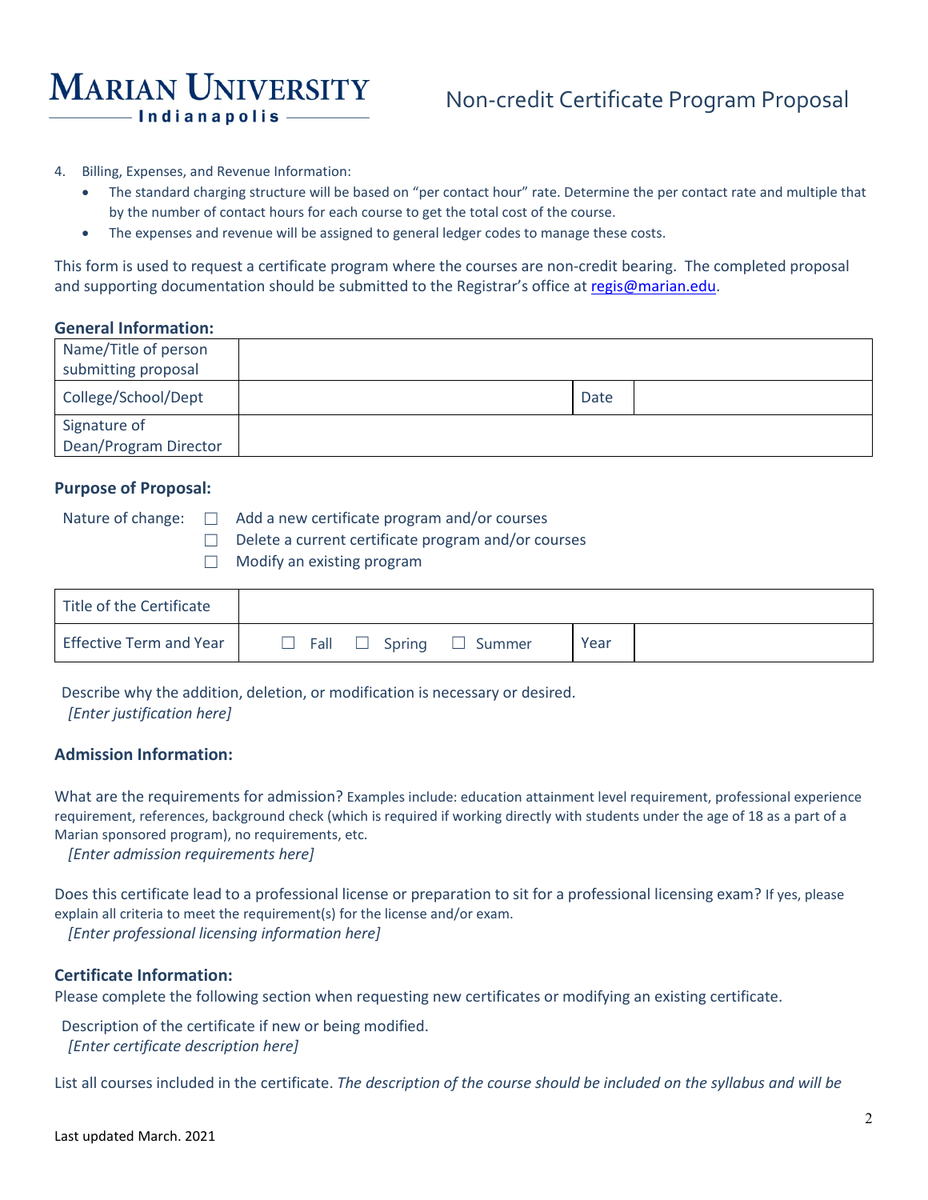# **MARIAN UNIVERSITY** -Indianapolis

## Non-credit Certificate Program Proposal

- 4. Billing, Expenses, and Revenue Information:
	- The standard charging structure will be based on "per contact hour" rate. Determine the per contact rate and multiple that by the number of contact hours for each course to get the total cost of the course.
	- The expenses and revenue will be assigned to general ledger codes to manage these costs.

This form is used to request a certificate program where the courses are non-credit bearing. The completed proposal and supporting documentation should be submitted to the Registrar's office at [regis@marian.edu.](mailto:regis@marian.edu)

### **General Information:**

| Name/Title of person  |      |  |
|-----------------------|------|--|
| submitting proposal   |      |  |
| College/School/Dept   | Date |  |
| Signature of          |      |  |
| Dean/Program Director |      |  |

#### **Purpose of Proposal:**

Nature of change:  $\Box$  Add a new certificate program and/or courses ☐ Delete a current certificate program and/or courses

 $\Box$  Modify an existing program

| Title of the Certificate       |                    |                       |  |
|--------------------------------|--------------------|-----------------------|--|
| <b>Effective Term and Year</b> | Fall $\Box$ Spring | Year<br>$\Box$ Summer |  |

Describe why the addition, deletion, or modification is necessary or desired. *[Enter justification here]*

### **Admission Information:**

What are the requirements for admission? Examples include: education attainment level requirement, professional experience requirement, references, background check (which is required if working directly with students under the age of 18 as a part of a Marian sponsored program), no requirements, etc.

*[Enter admission requirements here]*

Does this certificate lead to a professional license or preparation to sit for a professional licensing exam? If yes, please explain all criteria to meet the requirement(s) for the license and/or exam.

*[Enter professional licensing information here]*

## **Certificate Information:**

Please complete the following section when requesting new certificates or modifying an existing certificate.

Description of the certificate if new or being modified. *[Enter certificate description here]*

List all courses included in the certificate. *The description of the course should be included on the syllabus and will be*